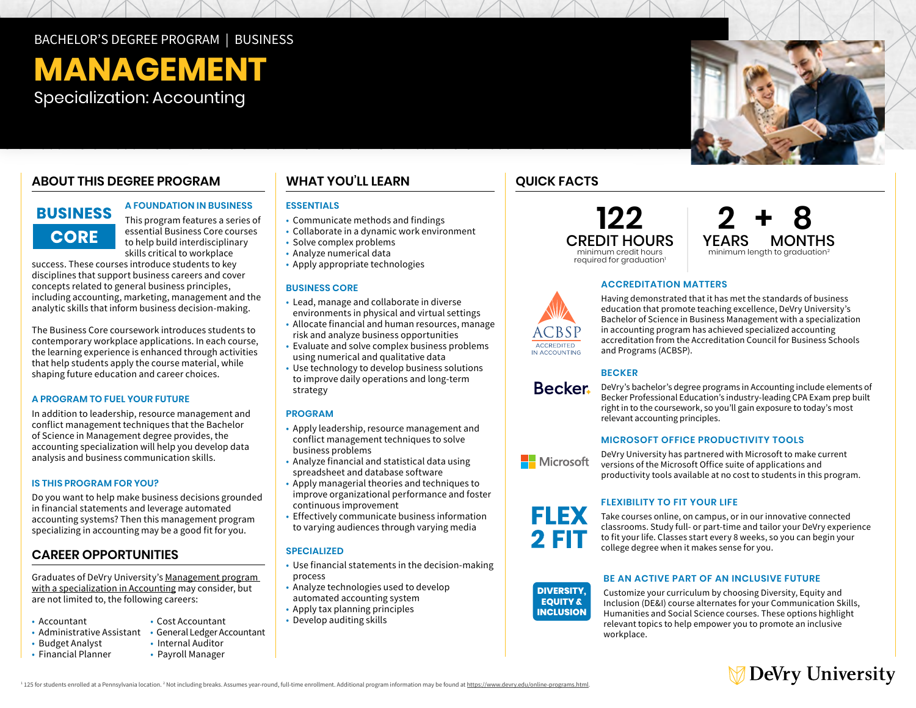### BACHELOR'S DEGREE PROGRAM | BUSINESS

# **MANAGEMENT**

Specialization: Accounting

### **ABOUT THIS DEGREE PROGRAM**

### **BUSINESS CORE**

#### **A FOUNDATION IN BUSINESS**

This program features a series of essential Business Core courses to help build interdisciplinary skills critical to workplace

success. These courses introduce students to key disciplines that support business careers and cover concepts related to general business principles, including accounting, marketing, management and the analytic skills that inform business decision-making.

The Business Core coursework introduces students to contemporary workplace applications. In each course, the learning experience is enhanced through activities that help students apply the course material, while shaping future education and career choices.

#### **A PROGRAM TO FUEL YOUR FUTURE**

In addition to leadership, resource management and conflict management techniques that the Bachelor of Science in Management degree provides, the accounting specialization will help you develop data analysis and business communication skills.

#### **IS THIS PROGRAM FOR YOU?**

Do you want to help make business decisions grounded in financial statements and leverage automated accounting systems? Then this management program specializing in accounting may be a good fit for you.

#### **CAREER OPPORTUNITIES**

Graduates of DeVry University's [Management program](https://www.devry.edu/online-programs/bachelors-degrees/business/accounting-specialization.html)  [with a specialization in Accounting](https://www.devry.edu/online-programs/bachelors-degrees/business/accounting-specialization.html) may consider, but are not limited to, the following careers:

- Accountant
- Administrative Assistant General Ledger Accountant
- Budget Analyst Internal Auditor
- Financial Planner
- 

• Cost Accountant

• Payroll Manager

### **WHAT YOU'LL LEARN**

#### **ESSENTIALS**

- Communicate methods and findings
- Collaborate in a dynamic work environment
- Solve complex problems
- Analyze numerical data
- Apply appropriate technologies

#### **BUSINESS CORE**

- environments in physical and virtual settings • Lead, manage and collaborate in diverse
- Allocate financial and human resources, manage risk and analyze business opportunities
- Evaluate and solve complex business problems using numerical and qualitative data
- Use technology to develop business solutions to improve daily operations and long-term strategy

#### **PROGRAM**

- Apply leadership, resource management and conflict management techniques to solve business problems
- Analyze financial and statistical data using spreadsheet and database software
- Apply managerial theories and techniques to improve organizational performance and foster continuous improvement
- Effectively communicate business information
- to varying audiences through varying media

#### **SPECIALIZED**

- Use financial statements in the decision-making process
- Analyze technologies used to develop
- automated accounting system
- Apply tax planning principles
- Develop auditing skills

### **QUICK FACTS**





#### **ACCREDITATION MATTERS**



#### **BECKER**



**ACCREDITED** IN ACCOUNTING

> DeVry's bachelor's degree programs in Accounting include elements of Becker Professional Education's industry-leading CPA Exam prep built right in to the coursework, so you'll gain exposure to today's most relevant accounting principles.

#### **MICROSOFT OFFICE PRODUCTIVITY TOOLS**



**FLEX EQUITY & INCLUSION**

> **DIVERSITY, EQUITY & INCLUSION**

DeVry University has partnered with Microsoft to make current versions of the Microsoft Office suite of applications and productivity tools available at no cost to students in this program.

#### **FLEXIBILITY TO FIT YOUR LIFE**

to fit your life. Classes start every 8 weeks, so you can begin your **EQUITY &** college degree when it makes sense for you. Take courses online, on campus, or in our innovative connected classrooms. Study full- or part-time and tailor your DeVry experience

#### **BE AN ACTIVE PART OF AN INCLUSIVE FUTURE**

Customize your curriculum by choosing Diversity, Equity and Inclusion (DE&I) course alternates for your Communication Skills, Humanities and Social Science courses. These options highlight relevant topics to help empower you to promote an inclusive workplace.



<sup>1</sup> 125 for students enrolled at a Pennsylvania location. <sup>2</sup> Not including breaks. Assumes year-round, full-time enrollment. Additional program information may be found at <u>https://www.devry.edu/online-programs.html</u>.